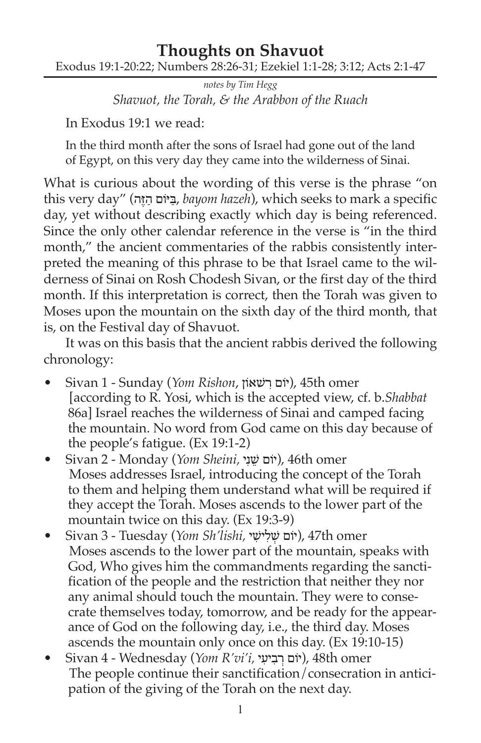## **Thoughts on Shavuot** Exodus 19:1-20:22; Numbers 28:26-31; Ezekiel 1:1-28; 3:12; Acts 2:1-47

*notes by Tim Hegg Shavuot, the Torah, & the Arabbon of the Ruach*

In Exodus 19:1 we read:

In the third month after the sons of Israel had gone out of the land of Egypt, on this very day they came into the wilderness of Sinai.

What is curious about the wording of this verse is the phrase "on this very day" (בִיּוֹם הַיֵּה, bayom hazeh), which seeks to mark a specific day, yet without describing exactly which day is being referenced. Since the only other calendar reference in the verse is "in the third month," the ancient commentaries of the rabbis consistently interpreted the meaning of this phrase to be that Israel came to the wilderness of Sinai on Rosh Chodesh Sivan, or the first day of the third month. If this interpretation is correct, then the Torah was given to Moses upon the mountain on the sixth day of the third month, that is, on the Festival day of Shavuot.

It was on this basis that the ancient rabbis derived the following chronology:

- Sivan 1 Sunday (*Yom Rishon*, וןֹשאׁ ִר וםֹי(, 45th omer [according to R. Yosi, which is the accepted view, cf. b.*Shabbat*  86a] Israel reaches the wilderness of Sinai and camped facing the mountain. No word from God came on this day because of the people's fatigue. (Ex 19:1-2)
- Sivan 2 Monday (*Yom Sheini,* יִנ ֵשׁ וםֹי(, 46th omer Moses addresses Israel, introducing the concept of the Torah to them and helping them understand what will be required if they accept the Torah. Moses ascends to the lower part of the mountain twice on this day. (Ex 19:3-9)
- omer th47 ,)יֹום ׁשְ לִ יׁשִ י *,lishi'Sh Yom* (Tuesday 3 Sivan• Moses ascends to the lower part of the mountain, speaks with God, Who gives him the commandments regarding the sanctification of the people and the restriction that neither they nor any animal should touch the mountain. They were to consecrate themselves today, tomorrow, and be ready for the appearance of God on the following day, i.e., the third day. Moses ascends the mountain only once on this day. (Ex 19:10-15)
- Sivan 4 Wednesday (*Yom R'vi'i,* י ִיע ִב ְר וםֹי(, 48th omer The people continue their sanctification/consecration in anticipation of the giving of the Torah on the next day.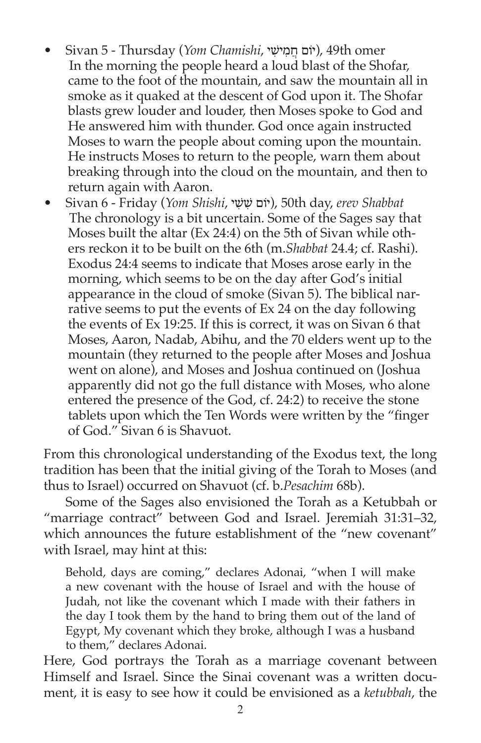- omer th49 ,)יֹום חֲ מִ יׁשִ י ,*Chamishi Yom* (Thursday 5 Sivan• In the morning the people heard a loud blast of the Shofar, came to the foot of the mountain, and saw the mountain all in smoke as it quaked at the descent of God upon it. The Shofar blasts grew louder and louder, then Moses spoke to God and He answered him with thunder. God once again instructed Moses to warn the people about coming upon the mountain. He instructs Moses to return to the people, warn them about breaking through into the cloud on the mountain, and then to return again with Aaron.
- Sivan 6 Friday (*Yom Shishi*, י ִשׁ ִשׁ וםֹי(, 50th day, *erev Shabbat* The chronology is a bit uncertain. Some of the Sages say that Moses built the altar (Ex 24:4) on the 5th of Sivan while others reckon it to be built on the 6th (m.*Shabbat* 24.4; cf. Rashi). Exodus 24:4 seems to indicate that Moses arose early in the morning, which seems to be on the day after God's initial appearance in the cloud of smoke (Sivan 5). The biblical narrative seems to put the events of Ex 24 on the day following the events of Ex 19:25. If this is correct, it was on Sivan 6 that Moses, Aaron, Nadab, Abihu, and the 70 elders went up to the mountain (they returned to the people after Moses and Joshua went on alone), and Moses and Joshua continued on (Joshua apparently did not go the full distance with Moses, who alone entered the presence of the God, cf. 24:2) to receive the stone tablets upon which the Ten Words were written by the "finger of God." Sivan 6 is Shavuot.

From this chronological understanding of the Exodus text, the long tradition has been that the initial giving of the Torah to Moses (and thus to Israel) occurred on Shavuot (cf. b.*Pesachim* 68b).

Some of the Sages also envisioned the Torah as a Ketubbah or "marriage contract" between God and Israel. Jeremiah 31:31–32, which announces the future establishment of the "new covenant" with Israel, may hint at this:

Behold, days are coming," declares Adonai, "when I will make a new covenant with the house of Israel and with the house of Judah, not like the covenant which I made with their fathers in the day I took them by the hand to bring them out of the land of Egypt, My covenant which they broke, although I was a husband to them," declares Adonai.

Here, God portrays the Torah as a marriage covenant between Himself and Israel. Since the Sinai covenant was a written document, it is easy to see how it could be envisioned as a *ketubbah*, the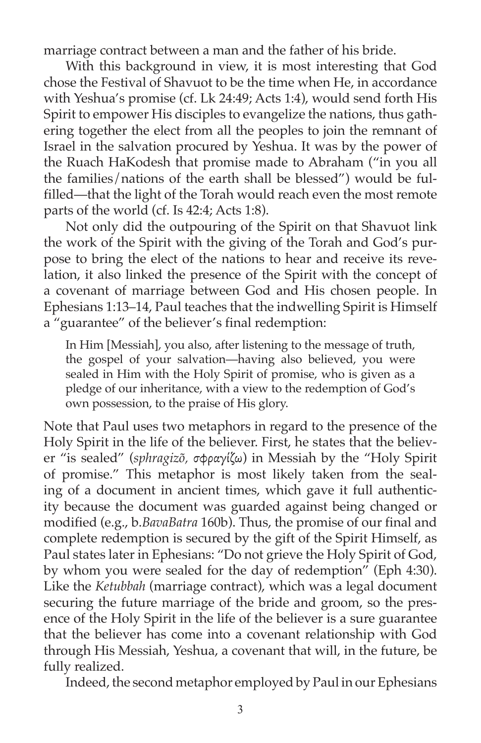marriage contract between a man and the father of his bride.

With this background in view, it is most interesting that God chose the Festival of Shavuot to be the time when He, in accordance with Yeshua's promise (cf. Lk 24:49; Acts 1:4), would send forth His Spirit to empower His disciples to evangelize the nations, thus gathering together the elect from all the peoples to join the remnant of Israel in the salvation procured by Yeshua. It was by the power of the Ruach HaKodesh that promise made to Abraham ("in you all the families/nations of the earth shall be blessed") would be fulfilled—that the light of the Torah would reach even the most remote parts of the world (cf. Is 42:4; Acts 1:8).

Not only did the outpouring of the Spirit on that Shavuot link the work of the Spirit with the giving of the Torah and God's purpose to bring the elect of the nations to hear and receive its revelation, it also linked the presence of the Spirit with the concept of a covenant of marriage between God and His chosen people. In Ephesians 1:13–14, Paul teaches that the indwelling Spirit is Himself a "guarantee" of the believer's final redemption:

In Him [Messiah], you also, after listening to the message of truth, the gospel of your salvation—having also believed, you were sealed in Him with the Holy Spirit of promise, who is given as a pledge of our inheritance, with a view to the redemption of God's own possession, to the praise of His glory.

Note that Paul uses two metaphors in regard to the presence of the Holy Spirit in the life of the believer. First, he states that the believer "is sealed" (*sphragizõ,* σφραγίζω) in Messiah by the "Holy Spirit of promise." This metaphor is most likely taken from the sealing of a document in ancient times, which gave it full authenticity because the document was guarded against being changed or modified (e.g., b.*BavaBatra* 160b). Thus, the promise of our final and complete redemption is secured by the gift of the Spirit Himself, as Paul states later in Ephesians: "Do not grieve the Holy Spirit of God, by whom you were sealed for the day of redemption" (Eph 4:30). Like the *Ketubbah* (marriage contract), which was a legal document securing the future marriage of the bride and groom, so the presence of the Holy Spirit in the life of the believer is a sure guarantee that the believer has come into a covenant relationship with God through His Messiah, Yeshua, a covenant that will, in the future, be fully realized.

Indeed, the second metaphor employed by Paul in our Ephesians